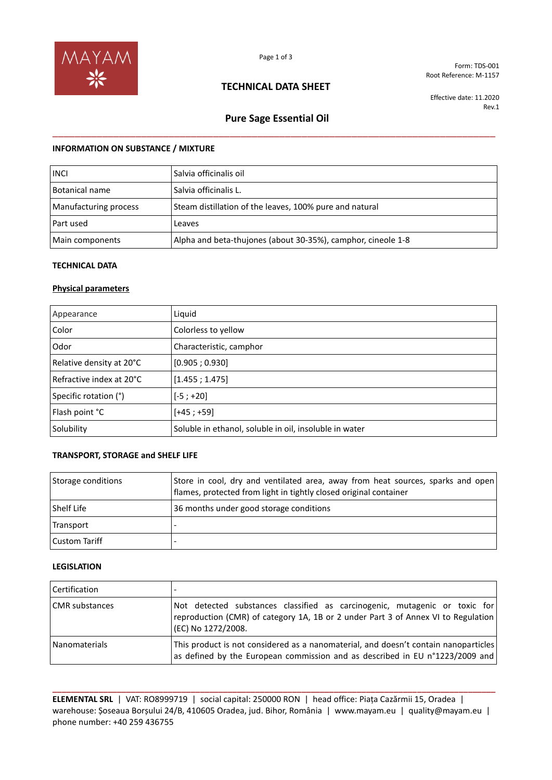

Form: TDS-001 Root Reference: M-1157

## **TECHNICAL DATA SHEET**

Effective date: 11.2020 Rev.1

# **Pure Sage Essential Oil**  \_\_\_\_\_\_\_\_\_\_\_\_\_\_\_\_\_\_\_\_\_\_\_\_\_\_\_\_\_\_\_\_\_\_\_\_\_\_\_\_\_\_\_\_\_\_\_\_\_\_\_\_\_\_\_\_\_\_\_\_\_\_\_\_\_\_\_\_\_\_\_\_\_\_\_\_\_\_\_\_

### **INFORMATION ON SUBSTANCE / MIXTURE**

| <b>INCL</b>           | Salvia officinalis oil                                       |
|-----------------------|--------------------------------------------------------------|
| Botanical name        | Salvia officinalis L.                                        |
| Manufacturing process | Steam distillation of the leaves, 100% pure and natural      |
| Part used             | Leaves                                                       |
| Main components       | Alpha and beta-thujones (about 30-35%), camphor, cineole 1-8 |

### **TECHNICAL DATA**

### **Physical parameters**

| Appearance               | Liquid                                                 |
|--------------------------|--------------------------------------------------------|
| Color                    | Colorless to yellow                                    |
| Odor                     | Characteristic, camphor                                |
| Relative density at 20°C | [0.905; 0.930]                                         |
| Refractive index at 20°C | [1.455; 1.475]                                         |
| Specific rotation (°)    | $[-5; +20]$                                            |
| Flash point °C           | $[+45; +59]$                                           |
| Solubility               | Soluble in ethanol, soluble in oil, insoluble in water |

### **TRANSPORT, STORAGE and SHELF LIFE**

| Storage conditions   | Store in cool, dry and ventilated area, away from heat sources, sparks and open<br>flames, protected from light in tightly closed original container |
|----------------------|------------------------------------------------------------------------------------------------------------------------------------------------------|
| <b>Shelf Life</b>    | 36 months under good storage conditions                                                                                                              |
| Transport            |                                                                                                                                                      |
| <b>Custom Tariff</b> |                                                                                                                                                      |

#### **LEGISLATION**

| Certification         |                                                                                                                                                                                       |
|-----------------------|---------------------------------------------------------------------------------------------------------------------------------------------------------------------------------------|
| <b>CMR</b> substances | Not detected substances classified as carcinogenic, mutagenic or toxic for<br>reproduction (CMR) of category 1A, 1B or 2 under Part 3 of Annex VI to Regulation<br>(EC) No 1272/2008. |
| Nanomaterials         | This product is not considered as a nanomaterial, and doesn't contain nanoparticles<br>as defined by the European commission and as described in EU n°1223/2009 and                   |

**ELEMENTAL SRL** | VAT: RO8999719 | social capital: 250000 RON | head office: Piața Cazărmii 15, Oradea | warehouse: Șoseaua Borșului 24/B, 410605 Oradea, jud. Bihor, România | www.mayam.eu | quality@mayam.eu | phone number: +40 259 436755

**\_\_\_\_\_\_\_\_\_\_\_\_\_\_\_\_\_\_\_\_\_\_\_\_\_\_\_\_\_\_\_\_\_\_\_\_\_\_\_\_\_\_\_\_\_\_\_\_\_\_\_\_\_\_\_\_\_\_\_\_\_\_\_\_\_\_\_\_\_\_\_\_\_\_\_\_\_\_\_\_\_\_\_\_\_\_\_\_\_\_\_\_\_\_\_\_**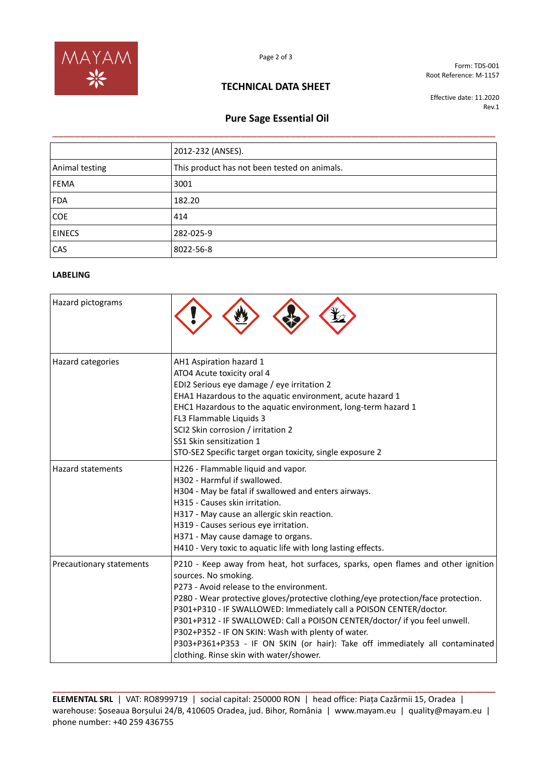

Form: TDS-001 Root Reference: M-1157

## **TECHNICAL DATA SHEET**

Effective date: 11.2020 Rev.1

## **Pure Sage Essential Oil**

|                | 2012-232 (ANSES).                            |
|----------------|----------------------------------------------|
| Animal testing | This product has not been tested on animals. |
| FEMA           | 3001                                         |
| <b>FDA</b>     | 182.20                                       |
| <b>COE</b>     | 414                                          |
| <b>EINECS</b>  | 282-025-9                                    |
| CAS            | 8022-56-8                                    |

### **LABELING**

| Hazard pictograms        |                                                                                                                                                                                                                                                                                                                                                                                                                                                                                                                                                                                |
|--------------------------|--------------------------------------------------------------------------------------------------------------------------------------------------------------------------------------------------------------------------------------------------------------------------------------------------------------------------------------------------------------------------------------------------------------------------------------------------------------------------------------------------------------------------------------------------------------------------------|
| Hazard categories        | AH1 Aspiration hazard 1<br>ATO4 Acute toxicity oral 4<br>EDI2 Serious eye damage / eye irritation 2<br>EHA1 Hazardous to the aquatic environment, acute hazard 1<br>EHC1 Hazardous to the aquatic environment, long-term hazard 1<br>FL3 Flammable Liquids 3<br>SCI2 Skin corrosion / irritation 2<br>SS1 Skin sensitization 1<br>STO-SE2 Specific target organ toxicity, single exposure 2                                                                                                                                                                                    |
| <b>Hazard statements</b> | H226 - Flammable liquid and vapor.<br>H302 - Harmful if swallowed.<br>H304 - May be fatal if swallowed and enters airways.<br>H315 - Causes skin irritation.<br>H317 - May cause an allergic skin reaction.<br>H319 - Causes serious eye irritation.<br>H371 - May cause damage to organs.<br>H410 - Very toxic to aquatic life with long lasting effects.                                                                                                                                                                                                                     |
| Precautionary statements | P210 - Keep away from heat, hot surfaces, sparks, open flames and other ignition<br>sources. No smoking.<br>P273 - Avoid release to the environment.<br>P280 - Wear protective gloves/protective clothing/eye protection/face protection.<br>P301+P310 - IF SWALLOWED: Immediately call a POISON CENTER/doctor.<br>P301+P312 - IF SWALLOWED: Call a POISON CENTER/doctor/ if you feel unwell.<br>P302+P352 - IF ON SKIN: Wash with plenty of water.<br>P303+P361+P353 - IF ON SKIN (or hair): Take off immediately all contaminated<br>clothing. Rinse skin with water/shower. |

**ELEMENTAL SRL** | VAT: RO8999719 | social capital: 250000 RON | head office: Piața Cazărmii 15, Oradea | warehouse: Șoseaua Borșului 24/B, 410605 Oradea, jud. Bihor, România | www.mayam.eu | quality@mayam.eu | phone number: +40 259 436755

**\_\_\_\_\_\_\_\_\_\_\_\_\_\_\_\_\_\_\_\_\_\_\_\_\_\_\_\_\_\_\_\_\_\_\_\_\_\_\_\_\_\_\_\_\_\_\_\_\_\_\_\_\_\_\_\_\_\_\_\_\_\_\_\_\_\_\_\_\_\_\_\_\_\_\_\_\_\_\_\_\_\_\_\_\_\_\_\_\_\_\_\_\_\_\_\_**